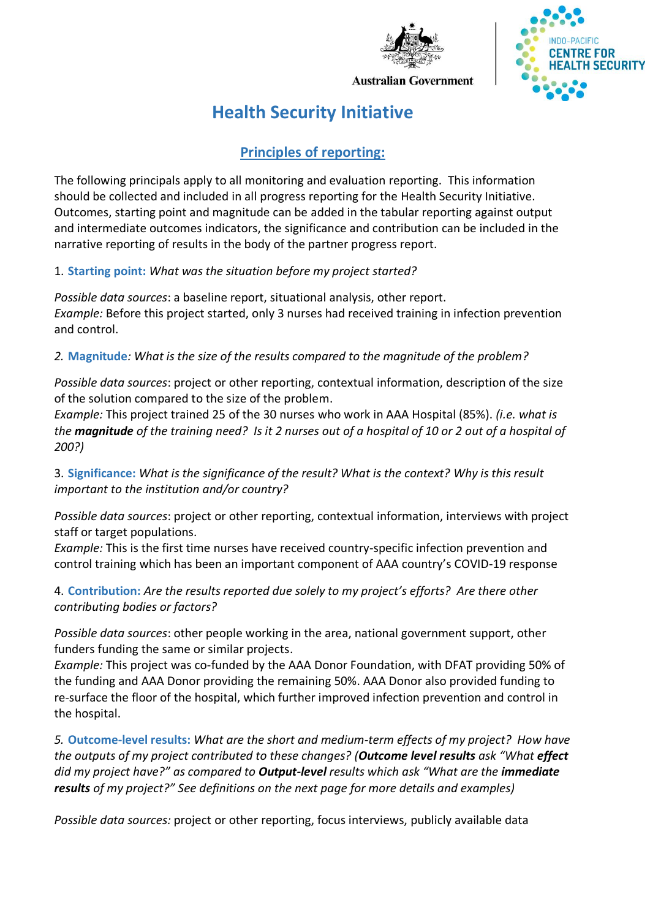



**Australian Government** 

# **Health Security Initiative**

## **Principles of reporting:**

The following principals apply to all monitoring and evaluation reporting. This information should be collected and included in all progress reporting for the Health Security Initiative. Outcomes, starting point and magnitude can be added in the tabular reporting against output and intermediate outcomes indicators, the significance and contribution can be included in the narrative reporting of results in the body of the partner progress report.

### 1. **Starting point:** *What was the situation before my project started?*

*Possible data sources*: a baseline report, situational analysis, other report. *Example:* Before this project started, only 3 nurses had received training in infection prevention and control.

## *2.* **Magnitude***: What is the size of the results compared to the magnitude of the problem?*

*Possible data sources*: project or other reporting, contextual information, description of the size of the solution compared to the size of the problem.

*Example:* This project trained 25 of the 30 nurses who work in AAA Hospital (85%). *(i.e. what is the magnitude of the training need? Is it 2 nurses out of a hospital of 10 or 2 out of a hospital of 200?)*

3. **Significance:** *What is the significance of the result? What is the context? Why is this result important to the institution and/or country?*

*Possible data sources*: project or other reporting, contextual information, interviews with project staff or target populations.

*Example:* This is the first time nurses have received country-specific infection prevention and control training which has been an important component of AAA country's COVID-19 response

4. **Contribution:** *Are the results reported due solely to my project's efforts? Are there other contributing bodies or factors?*

*Possible data sources*: other people working in the area, national government support, other funders funding the same or similar projects.

*Example:* This project was co-funded by the AAA Donor Foundation, with DFAT providing 50% of the funding and AAA Donor providing the remaining 50%. AAA Donor also provided funding to re-surface the floor of the hospital, which further improved infection prevention and control in the hospital.

*5.* **Outcome-level results:** *What are the short and medium-term effects of my project? How have the outputs of my project contributed to these changes? (Outcome level results ask "What effect did my project have?" as compared to Output-level results which ask "What are the immediate results of my project?" See definitions on the next page for more details and examples)*

*Possible data sources:* project or other reporting, focus interviews, publicly available data